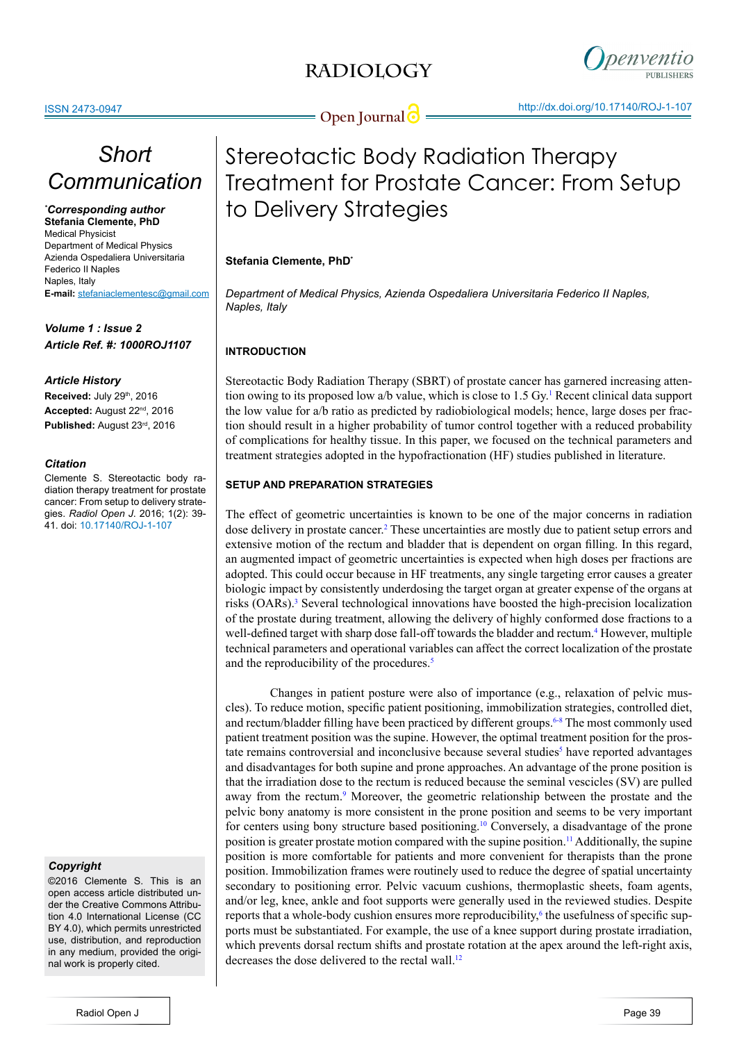## **RADIOLOGY**



**Open Journal <b>O** <u>Commissioner (New York 2010)</u>

# *Short Communication*

*\* Corresponding author* **Stefania Clemente, PhD** Medical Physicist Department of Medical Physics Azienda Ospedaliera Universitaria Federico II Naples Naples, Italy **E-mail:** stefaniaclementesc@gmail.com

*Volume 1 : Issue 2 Article Ref. #: 1000ROJ1107*

## *Article History*

**Received:** July 29<sup>th</sup>, 2016 **Accepted:** August 22nd, 2016 **Published:** August 23rd, 2016

## *Citation*

Clemente S. Stereotactic body radiation therapy treatment for prostate cancer: From setup to delivery strategies. *Radiol Open J*. 2016; 1(2): 39- 41. doi: 10.17140/ROJ-1-107

## *Copyright*

©2016 Clemente S. This is an open access article distributed under the Creative Commons Attribution 4.0 International License (CC BY 4.0), which permits unrestricted use, distribution, and reproduction in any medium, provided the original work is properly cited.

# Stereotactic Body Radiation Therapy Treatment for Prostate Cancer: From Setup to Delivery Strategies

## **Stefania Clemente, PhD\***

*Department of Medical Physics, Azienda Ospedaliera Universitaria Federico II Naples, Naples, Italy*

## **INTRODUCTION**

Stereotactic Body Radiation Therapy (SBRT) of prostate cancer has garnered increasing attention owing to its proposed low a/b value, which is close to  $1.5 \text{ Gy}$ . Recent clinical data support the low value for a/b ratio as predicted by radiobiological models; hence, large doses per fraction should result in a higher probability of tumor control together with a reduced probability of complications for healthy tissue. In this paper, we focused on the technical parameters and treatment strategies adopted in the hypofractionation (HF) studies published in literature.

## **SETUP AND PREPARATION STRATEGIES**

The effect of geometric uncertainties is known to be one of the major concerns in radiation dose delivery in prostate cancer.<sup>2</sup> These uncertainties are mostly due to patient setup errors and extensive motion of the rectum and bladder that is dependent on organ filling. In this regard, an augmented impact of geometric uncertainties is expected when high doses per fractions are adopted. This could occur because in HF treatments, any single targeting error causes a greater biologic impact by consistently underdosing the target organ at greater expense of the organs at risks (OARs).<sup>[3](#page-1-2)</sup> Several technological innovations have boosted the high-precision localization of the prostate during treatment, allowing the delivery of highly conformed dose fractions to a well-defined target with sharp dose fall-off towards the bladder and rectum.<sup>[4](#page-1-3)</sup> However, multiple technical parameters and operational variables can affect the correct localization of the prostate and the reproducibility of the procedures.<sup>[5](#page-1-4)</sup>

Changes in patient posture were also of importance (e.g., relaxation of pelvic muscles). To reduce motion, specific patient positioning, immobilization strategies, controlled diet, and rectum/bladder filling have been practiced by different groups. $6-8$  The most commonly used patient treatment position was the supine. However, the optimal treatment position for the pros-tate remains controversial and inconclusive because several studies<sup>[5](#page-1-4)</sup> have reported advantages and disadvantages for both supine and prone approaches. An advantage of the prone position is that the irradiation dose to the rectum is reduced because the seminal vescicles (SV) are pulled away from the rectum.<sup>[9](#page-2-1)</sup> Moreover, the geometric relationship between the prostate and the pelvic bony anatomy is more consistent in the prone position and seems to be very important for centers using bony structure based positioning.[10](#page-2-2) Conversely, a disadvantage of the prone position is greater prostate motion compared with the supine position[.11](#page-2-3) Additionally, the supine position is more comfortable for patients and more convenient for therapists than the prone position. Immobilization frames were routinely used to reduce the degree of spatial uncertainty secondary to positioning error. Pelvic vacuum cushions, thermoplastic sheets, foam agents, and/or leg, knee, ankle and foot supports were generally used in the reviewed studies. Despite reports that a whole-body cushion ensures more reproducibility, $6$  the usefulness of specific supports must be substantiated. For example, the use of a knee support during prostate irradiation, which prevents dorsal rectum shifts and prostate rotation at the apex around the left-right axis, decreases the dose delivered to the rectal wall.<sup>[12](#page-2-4)</sup>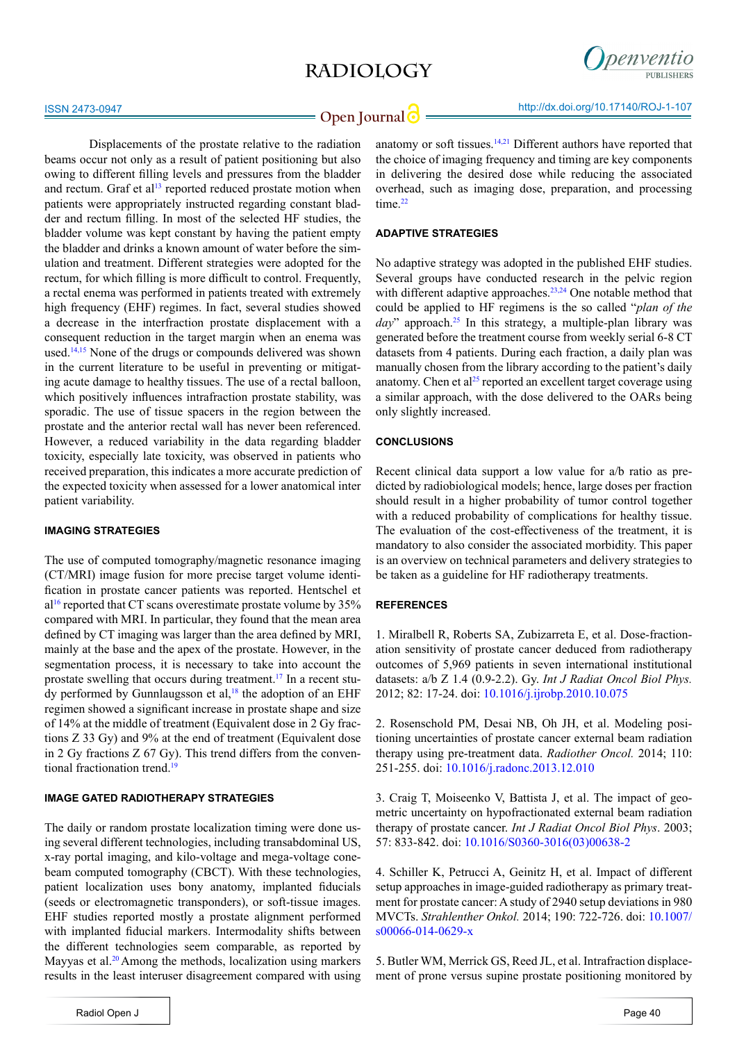## **RADIOLOGY**



**Open Journal | State of the September of the September of the September 2010 17140/ROJ-1-107** 

anatomy or soft tissues[.14](#page-2-6)[,21](#page-2-12) Different authors have reported that

Displacements of the prostate relative to the radiation beams occur not only as a result of patient positioning but also owing to different filling levels and pressures from the bladder and rectum. Graf et al<sup>13</sup> reported reduced prostate motion when patients were appropriately instructed regarding constant bladder and rectum filling. In most of the selected HF studies, the bladder volume was kept constant by having the patient empty the bladder and drinks a known amount of water before the simulation and treatment. Different strategies were adopted for the rectum, for which filling is more difficult to control. Frequently, a rectal enema was performed in patients treated with extremely high frequency (EHF) regimes. In fact, several studies showed a decrease in the interfraction prostate displacement with a consequent reduction in the target margin when an enema was used.[14,15](#page-2-6) None of the drugs or compounds delivered was shown in the current literature to be useful in preventing or mitigating acute damage to healthy tissues. The use of a rectal balloon, which positively influences intrafraction prostate stability, was sporadic. The use of tissue spacers in the region between the prostate and the anterior rectal wall has never been referenced. However, a reduced variability in the data regarding bladder toxicity, especially late toxicity, was observed in patients who received preparation, this indicates a more accurate prediction of the expected toxicity when assessed for a lower anatomical inter patient variability.

## **IMAGING STRATEGIES**

The use of computed tomography/magnetic resonance imaging (CT/MRI) image fusion for more precise target volume identification in prostate cancer patients was reported. Hentschel et  $a^{16}$  reported that CT scans overestimate prostate volume by 35% compared with MRI. In particular, they found that the mean area defined by CT imaging was larger than the area defined by MRI, mainly at the base and the apex of the prostate. However, in the segmentation process, it is necessary to take into account the prostate swelling that occurs during treatment.[17](#page-2-8) In a recent study performed by Gunnlaugsson et al, $18$  the adoption of an EHF regimen showed a significant increase in prostate shape and size of 14% at the middle of treatment (Equivalent dose in 2 Gy fractions Z 33 Gy) and 9% at the end of treatment (Equivalent dose in 2 Gy fractions Z 67 Gy). This trend differs from the conven-tional fractionation trend<sup>[19](#page-2-10)</sup>

## **IMAGE GATED RADIOTHERAPY STRATEGIES**

The daily or random prostate localization timing were done using several different technologies, including transabdominal US, x-ray portal imaging, and kilo-voltage and mega-voltage conebeam computed tomography (CBCT). With these technologies, patient localization uses bony anatomy, implanted fiducials (seeds or electromagnetic transponders), or soft-tissue images. EHF studies reported mostly a prostate alignment performed with implanted fiducial markers. Intermodality shifts between the different technologies seem comparable, as reported by Mayyas et al.<sup>[20](#page-2-11)</sup> Among the methods, localization using markers results in the least interuser disagreement compared with using

the choice of imaging frequency and timing are key components in delivering the desired dose while reducing the associated overhead, such as imaging dose, preparation, and processing time.<sup>[22](#page-2-13)</sup>

## **ADAPTIVE STRATEGIES**

No adaptive strategy was adopted in the published EHF studies. Several groups have conducted research in the pelvic region with different adaptive approaches.<sup>23,24</sup> One notable method that could be applied to HF regimens is the so called "*plan of the*   $dav$ " approach.<sup>25</sup> In this strategy, a multiple-plan library was generated before the treatment course from weekly serial 6-8 CT datasets from 4 patients. During each fraction, a daily plan was manually chosen from the library according to the patient's daily anatomy. Chen et al<sup>25</sup> reported an excellent target coverage using a similar approach, with the dose delivered to the OARs being only slightly increased.

## **CONCLUSIONS**

Recent clinical data support a low value for a/b ratio as predicted by radiobiological models; hence, large doses per fraction should result in a higher probability of tumor control together with a reduced probability of complications for healthy tissue. The evaluation of the cost-effectiveness of the treatment, it is mandatory to also consider the associated morbidity. This paper is an overview on technical parameters and delivery strategies to be taken as a guideline for HF radiotherapy treatments.

#### **REFERENCES**

<span id="page-1-0"></span>1. Miralbell R, Roberts SA, Zubizarreta E, et al. Dose-fractionation sensitivity of prostate cancer deduced from radiotherapy outcomes of 5,969 patients in seven international institutional datasets: a/b Z 1.4 (0.9-2.2). Gy. *Int J Radiat Oncol Biol Phys.* 2012; 82: 17-24. doi: [10.1016/j.ijrobp.2010.10.075](http://www.ncbi.nlm.nih.gov/pubmed/21324610)

<span id="page-1-1"></span>2. Rosenschold PM, Desai NB, Oh JH, et al. Modeling positioning uncertainties of prostate cancer external beam radiation therapy using pre-treatment data. *Radiother Oncol.* 2014; 110: 251-255. doi: [10.1016/j.radonc.2013.12.010](http://www.ncbi.nlm.nih.gov/pubmed/24560753)

<span id="page-1-2"></span>3. Craig T, Moiseenko V, Battista J, et al. The impact of geometric uncertainty on hypofractionated external beam radiation therapy of prostate cancer. *Int J Radiat Oncol Biol Phys*. 2003; 57: 833-842. doi: [10.1016/S0360-3016\(03\)00638-2](http://www.redjournal.org/article/S0360-3016%2803%2900638-2/abstract)

<span id="page-1-3"></span>4. Schiller K, Petrucci A, Geinitz H, et al. Impact of different setup approaches in image-guided radiotherapy as primary treatment for prostate cancer: A study of 2940 setup deviations in 980 MVCTs. *Strahlenther Onkol.* 2014; 190: 722-726. doi: [10.1007/](http://www.ncbi.nlm.nih.gov/pubmed/24756138) [s00066-014-0629-x](http://www.ncbi.nlm.nih.gov/pubmed/24756138)

<span id="page-1-4"></span>5. Butler WM, Merrick GS, Reed JL, et al. Intrafraction displacement of prone versus supine prostate positioning monitored by